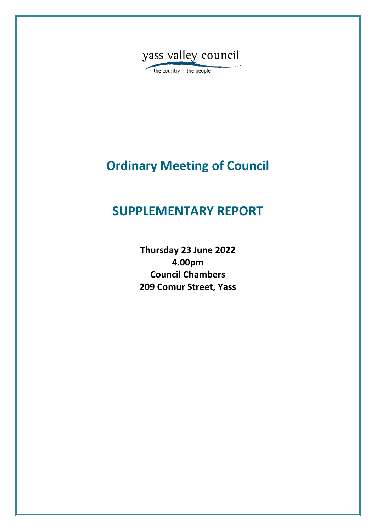

the country the people

# **Ordinary Meeting of Council**

## **SUPPLEMENTARY REPORT**

**Thursday 23 June 2022 4.00pm Council Chambers 209 Comur Street, Yass**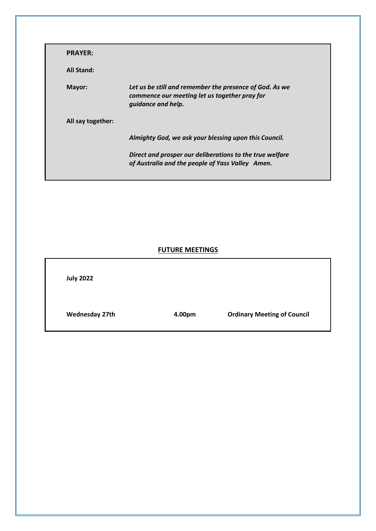| <b>PRAYER:</b>    |                                                                                                                                |
|-------------------|--------------------------------------------------------------------------------------------------------------------------------|
| <b>All Stand:</b> |                                                                                                                                |
| Mayor:            | Let us be still and remember the presence of God. As we<br>commence our meeting let us together pray for<br>quidance and help. |
| All say together: |                                                                                                                                |
|                   | Almighty God, we ask your blessing upon this Council.                                                                          |
|                   | Direct and prosper our deliberations to the true welfare<br>of Australia and the people of Yass Valley Amen.                   |

### **FUTURE MEETINGS**

| <b>July 2022</b>      |        |                                    |
|-----------------------|--------|------------------------------------|
| <b>Wednesday 27th</b> | 4.00pm | <b>Ordinary Meeting of Council</b> |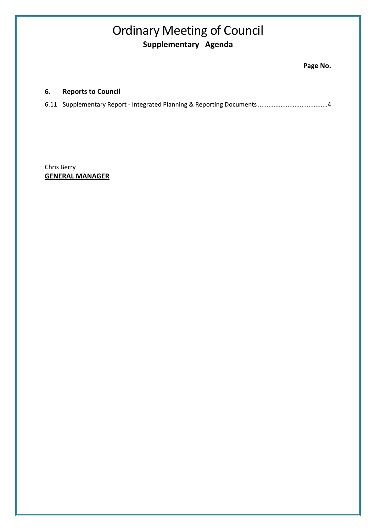## Ordinary Meeting of Council **Supplementary Agenda**

### **6. Reports to Council**

|--|--|--|

Chris Berry **GENERAL MANAGER**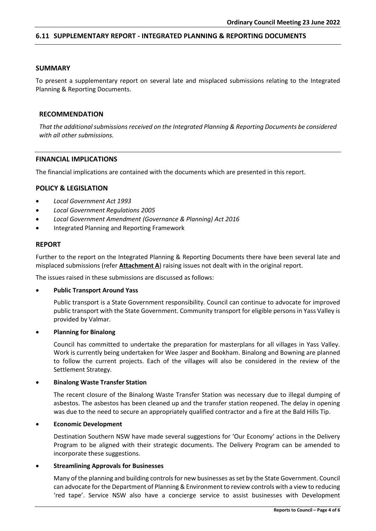#### <span id="page-3-0"></span>**6.11 SUPPLEMENTARY REPORT - INTEGRATED PLANNING & REPORTING DOCUMENTS**

#### **SUMMARY**

To present a supplementary report on several late and misplaced submissions relating to the Integrated Planning & Reporting Documents.

#### **RECOMMENDATION**

*That the additional submissions received on the Integrated Planning & Reporting Documents be considered with all other submissions.*

#### **FINANCIAL IMPLICATIONS**

The financial implications are contained with the documents which are presented in this report.

#### **POLICY & LEGISLATION**

- *Local Government Act 1993*
- *Local Government Regulations 2005*
- *Local Government Amendment (Governance & Planning) Act 2016*
- Integrated Planning and Reporting Framework

#### **REPORT**

Further to the report on the Integrated Planning & Reporting Documents there have been several late and misplaced submissions (refer **Attachment A**) raising issues not dealt with in the original report.

The issues raised in these submissions are discussed as follows:

#### • **Public Transport Around Yass**

Public transport is a State Government responsibility. Council can continue to advocate for improved public transport with the State Government. Community transport for eligible persons in Yass Valley is provided by Valmar.

#### • **Planning for Binalong**

Council has committed to undertake the preparation for masterplans for all villages in Yass Valley. Work is currently being undertaken for Wee Jasper and Bookham. Binalong and Bowning are planned to follow the current projects. Each of the villages will also be considered in the review of the Settlement Strategy.

#### • **Binalong Waste Transfer Station**

The recent closure of the Binalong Waste Transfer Station was necessary due to illegal dumping of asbestos. The asbestos has been cleaned up and the transfer station reopened. The delay in opening was due to the need to secure an appropriately qualified contractor and a fire at the Bald Hills Tip.

#### • **Economic Development**

Destination Southern NSW have made several suggestions for 'Our Economy' actions in the Delivery Program to be aligned with their strategic documents. The Delivery Program can be amended to incorporate these suggestions.

#### • **Streamlining Approvals for Businesses**

Many of the planning and building controls for new businesses as set by the State Government. Council can advocate for the Department of Planning & Environment to review controls with a view to reducing 'red tape'. Service NSW also have a concierge service to assist businesses with Development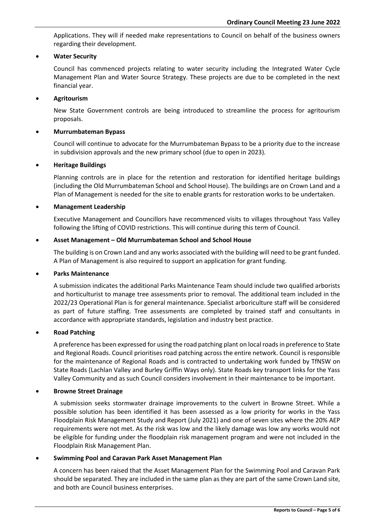Applications. They will if needed make representations to Council on behalf of the business owners regarding their development.

#### • **Water Security**

Council has commenced projects relating to water security including the Integrated Water Cycle Management Plan and Water Source Strategy. These projects are due to be completed in the next financial year.

#### • **Agritourism**

New State Government controls are being introduced to streamline the process for agritourism proposals.

#### • **Murrumbateman Bypass**

Council will continue to advocate for the Murrumbateman Bypass to be a priority due to the increase in subdivision approvals and the new primary school (due to open in 2023).

#### • **Heritage Buildings**

Planning controls are in place for the retention and restoration for identified heritage buildings (including the Old Murrumbateman School and School House). The buildings are on Crown Land and a Plan of Management is needed for the site to enable grants for restoration works to be undertaken.

#### • **Management Leadership**

Executive Management and Councillors have recommenced visits to villages throughout Yass Valley following the lifting of COVID restrictions. This will continue during this term of Council.

#### • **Asset Management – Old Murrumbateman School and School House**

The building is on Crown Land and any works associated with the building will need to be grant funded. A Plan of Management is also required to support an application for grant funding.

#### • **Parks Maintenance**

A submission indicates the additional Parks Maintenance Team should include two qualified arborists and horticulturist to manage tree assessments prior to removal. The additional team included in the 2022/23 Operational Plan is for general maintenance. Specialist arboriculture staff will be considered as part of future staffing. Tree assessments are completed by trained staff and consultants in accordance with appropriate standards, legislation and industry best practice.

#### • **Road Patching**

A preference has been expressed for using the road patching plant on local roads in preference to State and Regional Roads. Council prioritises road patching across the entire network. Council is responsible for the maintenance of Regional Roads and is contracted to undertaking work funded by TfNSW on State Roads (Lachlan Valley and Burley Griffin Ways only). State Roads key transport links for the Yass Valley Community and as such Council considers involvement in their maintenance to be important.

#### • **Browne Street Drainage**

A submission seeks stormwater drainage improvements to the culvert in Browne Street. While a possible solution has been identified it has been assessed as a low priority for works in the Yass Floodplain Risk Management Study and Report (July 2021) and one of seven sites where the 20% AEP requirements were not met. As the risk was low and the likely damage was low any works would not be eligible for funding under the floodplain risk management program and were not included in the Floodplain Risk Management Plan.

#### • **Swimming Pool and Caravan Park Asset Management Plan**

A concern has been raised that the Asset Management Plan for the Swimming Pool and Caravan Park should be separated. They are included in the same plan as they are part of the same Crown Land site, and both are Council business enterprises.